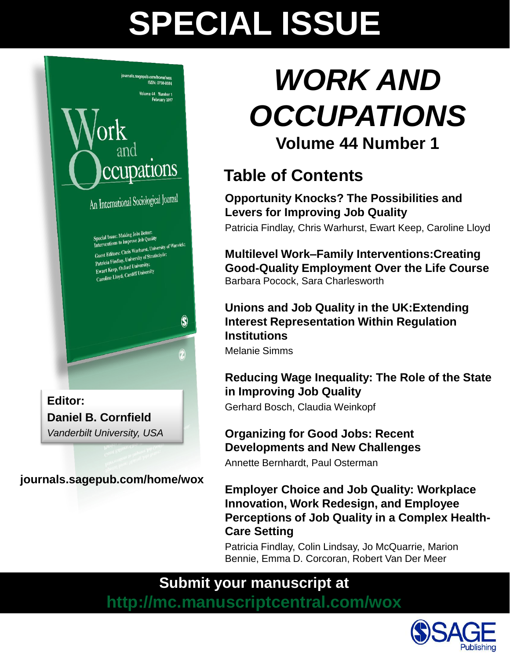# **SPECIAL ISSUE**



*Vanderbilt University, USA*

**journals.sagepub.com/home/wox**

# *WORK AND OCCUPATIONS* **Volume 44 Number 1**

# **Table of Contents**

**Opportunity Knocks? The Possibilities and Levers for Improving Job Quality** Patricia Findlay, Chris Warhurst, Ewart Keep, Caroline Lloyd

**Multilevel Work–Family Interventions:Creating Good-Quality Employment Over the Life Course**  Barbara Pocock, Sara Charlesworth

### **Unions and Job Quality in the UK:Extending Interest Representation Within Regulation Institutions**

Melanie Simms

## **Reducing Wage Inequality: The Role of the State in Improving Job Quality**

Gerhard Bosch, Claudia Weinkopf

## **Organizing for Good Jobs: Recent Developments and New Challenges**

Annette Bernhardt, Paul Osterman

### **Employer Choice and Job Quality: Workplace Innovation, Work Redesign, and Employee Perceptions of Job Quality in a Complex Health-Care Setting**

Patricia Findlay, Colin Lindsay, Jo McQuarrie, Marion Bennie, Emma D. Corcoran, Robert Van Der Meer

# **Submit your manuscript at**

**http://mc.manuscriptcentral.com/wox**